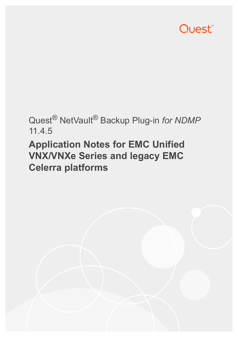# Quest<sup>®</sup>

## Quest® NetVault® Backup Plug-in *for NDMP* 11.4.5

# **Application Notes for EMC Unified VNX/VNXe Series and legacy EMC Celerra platforms**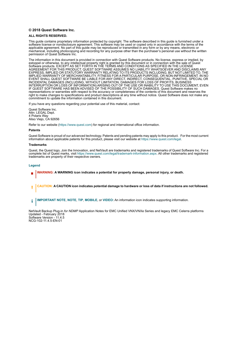#### **© 2018 Quest Software Inc.**

#### **ALL RIGHTS RESERVED.**

This guide contains proprietary information protected by copyright. The software described in this guide is furnished under a software license or nondisclosure agreement. This software may be used or copied only in accordance with the terms of the applicable agreement. No part of this guide may be reproduced or transmitted in any form or by any means, electronic or mechanical, including photocopying and recording for any purpose other than the purchaser's personal use without the written permission of Quest Software Inc.

The information in this document is provided in connection with Quest Software products. No license, express or implied, by estoppel or otherwise, to any intellectual property right is granted by this document or in connection with the sale of Quest<br>Software products. EXCEPT AS SET FORTH IN THE TERMS AND CONDITIONS AS SPECIFIED IN THE LICENSE<br>A EXPRESS, IMPLIED OR STATUTORY WARRANTY RELATING TO ITS PRODUCTS INCLUDING, BUT NOT LIMITED TO, THE IMPLIED WARRANTY OF MERCHANTABILITY, FITNESS FOR A PARTICULAR PURPOSE, OR NON-INFRINGEMENT. IN NO EVENT SHALL QUEST SOFTWARE BE LIABLE FOR ANY DIRECT, INDIRECT, CONSEQUENTIAL, PUNITIVE, SPECIAL OR INCIDENTAL DAMAGES (INCLUDING, WITHOUT LIMITATION, DAMAGES FOR LOSS OF PROFITS, BUSINESS<br>INTERRUPTION OR LOSS OF INFORMATION) ARISING OUT OF THE USE OR INABILITY TO USE THIS DOCUMENT, EVEN IF QUEST SOFTWARE HAS BEEN ADVISED OF THE POSSIBILITY OF SUCH DAMAGES. Quest Software makes no representations or warranties with respect to the accuracy or completeness of the contents of this document and reserves the right to make changes to specifications and product descriptions at any time without notice. Quest Software does not make any commitment to update the information contained in this document.

If you have any questions regarding your potential use of this material, contact:

Quest Software Inc. Attn: LEGAL Dept. 4 Polaris Way Aliso Viejo, CA 92656

Refer to our website [\(https://www.quest.com](https://www.quest.com)) for regional and international office information.

#### **Patents**

Quest Software is proud of our advanced technology. Patents and pending patents may apply to this product. For the most current information about applicable patents for this product, please visit our website at [https://www.quest.com/legal.](https://www.quest.com/legal)

#### **Trademarks**

Quest, the Quest logo, Join the Innovation, and NetVault are trademarks and registered trademarks of Quest Software Inc. For a complete list of Quest marks, visit [https://www.quest.com/legal/trademark-information.aspx.](https://www.quest.com/legal/trademark-information.aspx) All other trademarks and registered trademarks are property of their respective owners.

#### **Legend**

- **WARNING: A WARNING icon indicates a potential for property damage, personal injury, or death.**
- **CAUTION: A CAUTION icon indicates potential damage to hardware or loss of data if instructions are not followed.** Ţ
- **IMPORTANT NOTE**, **NOTE**, **TIP**, **MOBILE**, or **VIDEO:** An information icon indicates supporting information.f.

NetVault Backup Plug-in *for NDMP* Application Notes for EMC Unified VNX/VNXe Series and legacy EMC Celerra platforms Updated - February 2018 Software Version - 11.4.5 NCG-102-11.4.5-EN-01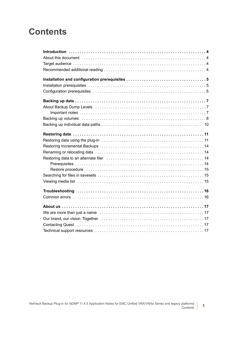### **Contents**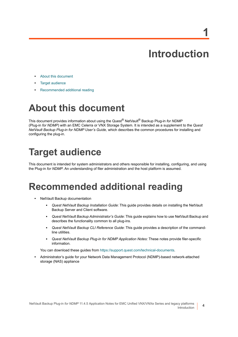# **Introduction**

**1**

- <span id="page-3-0"></span>**•** [About this document](#page-3-1)
- **•** [Target audience](#page-3-2)
- **•** [Recommended additional reading](#page-3-3)

# <span id="page-3-1"></span>**About this document**

This document provides information about using the Quest® NetVault® Backup Plug-in *for NDMP* (Plug-in *for NDMP*) with an EMC Celerra or VNX Storage System. It is intended as a supplement to the *Quest NetVault Backup Plug-in for NDMP User's Guide,* which describes the common procedures for installing and configuring the plug-in.

# <span id="page-3-2"></span>**Target audience**

This document is intended for system administrators and others responsible for installing, configuring, and using the Plug-in *for NDMP*. An understanding of filer administration and the host platform is assumed.

### <span id="page-3-3"></span>**Recommended additional reading**

- **•** NetVault Backup documentation
	- **▪** *Quest NetVault Backup Installation Guide*: This guide provides details on installing the NetVault Backup Server and Client software.
	- **▪** *Quest NetVault Backup Administrator's Guide*: This guide explains how to use NetVault Backup and describes the functionality common to all plug-ins.
	- **▪** *Quest NetVault Backup CLI Reference Guide*: This guide provides a description of the commandline utilities.
	- **▪** *Quest NetVault Backup Plug-in for NDMP Application Notes:* These notes provide filer-specific information.

You can download these guides from<https://support.quest.com/technical-documents>.

**•** Administrator's guide for your Network Data Management Protocol (NDMP)-based network-attached storage (NAS) appliance

**4**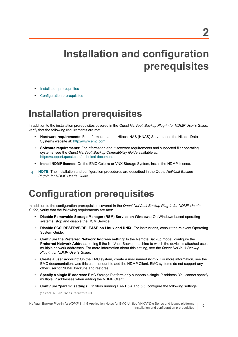# <span id="page-4-0"></span>**Installation and configuration prerequisites**

- **•** [Installation prerequisites](#page-4-1)
- **•** [Configuration prerequisites](#page-4-2)

### <span id="page-4-1"></span>**Installation prerequisites**

In addition to the installation prerequisites covered in the *Quest NetVault Backup Plug-in for NDMP User's Guide*, verify that the following requirements are met:

- **Hardware requirements**: For information about Hitachi NAS (HNAS) Servers, see the Hitachi Data Systems website at:<http://www.emc.com>
- **Software requirements:** For information about software requirements and supported filer operating systems, see the *Quest NetVault Backup Compatibility Guide* available at: <https://support.quest.com/technical-documents>
- **Install NDMP license:** On the EMC Celerra or VNX Storage System, install the NDMP license.
- **NOTE:** The installation and configuration procedures are described in the *Quest NetVault Backup*  f. *Plug-in for NDMP User's Guide*.

# <span id="page-4-2"></span>**Configuration prerequisites**

In addition to the configuration prerequisites covered in the *Quest NetVault Backup Plug-in for NDMP User's Guide*, verify that the following requirements are met:

- **Disable Removable Storage Manager (RSM) Service on Windows:** On Windows-based operating systems, stop and disable the RSM Service.
- **Disable SCSI RESERVE/RELEASE on Linux and UNIX:** For instructions, consult the relevant Operating System Guide.
- **Configure the Preferred Network Address setting:** In the Remote Backup model, configure the **Preferred Network Address** setting if the NetVault Backup machine to which the device is attached uses multiple network addresses. For more information about this setting, see the *Quest NetVault Backup Plug-in for NDMP User's Guide*.
- **Create a user account:** On the EMC system, create a user named **ndmp**. For more information, see the EMC documentation. Use this user account to add the NDMP Client. EMC systems do not support any other user for NDMP backups and restores.
- **Specify a single IP address:** EMC Storage Platform only supports a single IP address. You cannot specify multiple IP addresses when adding the NDMP Client.
- **Configure "param" settings:** On filers running DART 5.4 and 5.5, configure the following settings:

param NDMP scsiReserve=0

NetVault Backup Plug-in *for NDMP* 11.4.5 Application Notes for EMC Unified VNX/VNXe Series and legacy platforms Installation and configuration prerequisites

**5**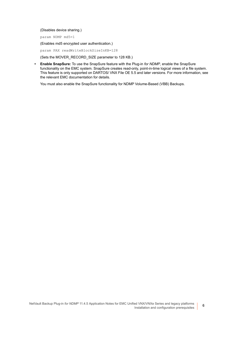(Disables device sharing.)

param NDMP md5=1

(Enables md5 encrypted user authentication.)

param PAX readWriteBlockSizeInKB=128

(Sets the MOVER\_RECORD\_SIZE parameter to 128 KB.)

**• Enable SnapSure:** To use the SnapSure feature with the Plug-in *for NDMP*, enable the SnapSure functionality on the EMC system. SnapSure creates read-only, point-in-time logical views of a file system. This feature is only supported on DARTOS/ VNX File OE 5.5 and later versions. For more information, see the relevant EMC documentation for details.

You must also enable the SnapSure functionality for NDMP Volume-Based (VBB) Backups.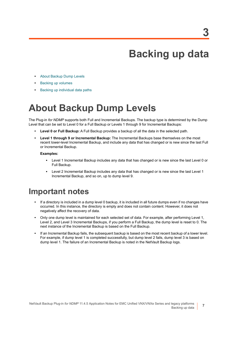# **Backing up data**

- <span id="page-6-0"></span>**•** [About Backup Dump Levels](#page-6-1)
- **•** [Backing up volumes](#page-7-0)
- **•** [Backing up individual data paths](#page-9-0)

## <span id="page-6-1"></span>**About Backup Dump Levels**

The Plug-in *for NDMP* supports both Full and Incremental Backups. The backup type is determined by the Dump Level that can be set to Level 0 for a Full Backup or Levels 1 through 9 for Incremental Backups:

- **Level 0 or Full Backup:** A Full Backup provides a backup of all the data in the selected path.
- **Level 1 through 9 or Incremental Backup:** The Incremental Backups base themselves on the most recent lower-level Incremental Backup, and include any data that has changed or is new since the last Full or Incremental Backup.

#### **Examples:**

- **▪** Level 1 Incremental Backup includes any data that has changed or is new since the last Level 0 or Full Backup.
- **▪** Level 2 Incremental Backup includes any data that has changed or is new since the last Level 1 Incremental Backup, and so on, up to dump level 9.

#### <span id="page-6-2"></span>**Important notes**

- **•** If a directory is included in a dump level 0 backup, it is included in all future dumps even if no changes have occurred. In this instance, the directory is empty and does not contain content. However, it does not negatively affect the recovery of data.
- **•** Only one dump level is maintained for each selected set of data. For example, after performing Level 1, Level 2, and Level 3 Incremental Backups, if you perform a Full Backup, the dump level is reset to 0. The next instance of the Incremental Backup is based on the Full Backup.
- **•** If an Incremental Backup fails, the subsequent backup is based on the most recent backup of a lower level. For example, if dump level 1 is completed successfully, but dump level 2 fails, dump level 3 is based on dump level 1. The failure of an Incremental Backup is noted in the NetVault Backup logs.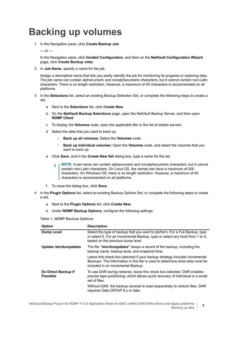### <span id="page-7-0"></span>**Backing up volumes**

1 In the Navigation pane, click **Create Backup Job**.

#### $-$  or  $-$

In the Navigation pane, click **Guided Configuration**, and then on the **NetVault Configuration Wizard** page, click **Create Backup Jobs**.

2 In **Job Name**, specify a name for the job.

Assign a descriptive name that lets you easily identify the job for monitoring its progress or restoring data. The job name can contain alphanumeric and nonalphanumeric characters, but it cannot contain non-Latin characters. There is no length restriction. However, a maximum of 40 characters is recommended on all platforms.

- 3 In the **Selections** list, select an existing Backup Selection Set, or complete the following steps to create a set.
	- a Next to the **Selections** list, click **Create New**.
	- b On the **NetVault Backup Selections** page, open the NetVault Backup Server, and then open **NDMP Client**.
	- c To display the **Volumes** node, open the applicable filer in the list of added servers.
	- d Select the data that you want to back up:
		- **▫ Back up all volumes:** Select the **Volumes** node.
		- **▫ Back up individual volumes:** Open the **Volumes** node, and select the volumes that you want to back up.
	- e Click **Save**, and in the **Create New Set** dialog box, type a name for the set.
		- **NOTE:** A set name can contain alphanumeric and nonalphanumeric characters, but it cannot ÷ contain non-Latin characters. On Linux OS, the names can have a maximum of 200 characters. On Windows OS, there is no length restriction. However, a maximum of 40 characters is recommended on all platforms.
	- f To close the dialog box, click **Save**.
- 4 In the **Plugin Options** list, select an existing Backup Options Set, or complete the following steps to create a set.
	- a Next to the **Plugin Options** list, click **Create New**.
	- b Under **NDMP Backup Options**, configure the following settings.

<span id="page-7-1"></span>**Table 1. NDMP Backup Options**

| Option                                 | <b>Description</b>                                                                                                                                                                                |
|----------------------------------------|---------------------------------------------------------------------------------------------------------------------------------------------------------------------------------------------------|
| <b>Dump Level</b>                      | Select the type of backup that you want to perform. For a Full Backup, type<br>or select 0. For an Incremental Backup, type or select any level from 1 to 9,<br>based on the previous dump level. |
| Update /etc/dumpdates                  | The file "/ <b>etc/dumpdates</b> " keeps a record of the backup, including the<br>backup name, backup level, and snapshot time.                                                                   |
|                                        | Leave this check box selected if your backup strategy includes Incremental<br>Backups. The information in this file is used to determine what data must be<br>included in an Incremental Backup.  |
| Do Direct Backup if<br><b>Possible</b> | To use DAR during restores, leave this check box selected. DAR enables<br>precise tape positioning, which allows quick recovery of individual or a small<br>set of files.                         |
|                                        | Without DAR, the backup saveset is read sequentially to restore files. DAR<br>requires Data ONTAP 6.x or later.                                                                                   |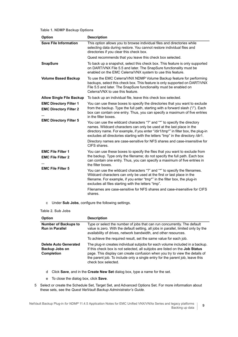**Table 1. NDMP Backup Options**

| Option                                                         | <b>Description</b>                                                                                                                                                                                                                                                                                                        |
|----------------------------------------------------------------|---------------------------------------------------------------------------------------------------------------------------------------------------------------------------------------------------------------------------------------------------------------------------------------------------------------------------|
| <b>Save File Information</b>                                   | This option allows you to browse individual files and directories while<br>selecting data during restore. You cannot restore individual files and<br>directories if you clear this check box.                                                                                                                             |
|                                                                | Quest recommends that you leave this check box selected.                                                                                                                                                                                                                                                                  |
| <b>SnapSure</b>                                                | To back up a snapshot, select this check box. This feature is only supported<br>on DART/VNX File 5.5 and later. The SnapSure functionality must be<br>enabled on the EMC Celerra/VNX system to use this feature.                                                                                                          |
| <b>Volume Based Backup</b>                                     | To use the EMC Celerra/VNX NDMP Volume Backup feature for performing<br>backups, select this check box. This feature is only supported on DART/VNX<br>File 5.5 and later. The SnapSure functionality must be enabled on<br>Celerra/VNX to use this feature.                                                               |
| <b>Allow Single File Backup</b>                                | To back up an individual file, leave this check box selected.                                                                                                                                                                                                                                                             |
| <b>EMC Directory Filter 1</b><br><b>EMC Directory Filter 2</b> | You can use these boxes to specify the directories that you want to exclude<br>from the backup. Type the full path, starting with a forward slash ("/"). Each<br>box can contain one entry. Thus, you can specify a maximum of five entries<br>in the filter boxes.                                                       |
| <b>EMC Directory Filter 5</b>                                  | You can use the wildcard characters "?" and "*" to specify the directory<br>names. Wildcard characters can only be used at the last place in the<br>directory name. For example, if you enter "/dir1/tmp*" in filter box, the plug-in<br>excludes all directories starting with the letters "tmp" in the directory /dir1. |
|                                                                | Directory names are case-sensitive for NFS shares and case-insensitive for<br>CIFS shares.                                                                                                                                                                                                                                |
| <b>EMC File Filter 1</b><br><b>EMC File Filter 2</b>           | You can use these boxes to specify the files that you want to exclude from<br>the backup. Type only the filename; do not specify the full path. Each box<br>can contain one entry. Thus, you can specify a maximum of five entries in<br>the filter boxes.                                                                |
| <b>EMC File Filter 5</b>                                       | You can use the wildcard characters "?" and "*" to specify the filenames.<br>Wildcard characters can only be used at the first or last place in the<br>filename. For example, if you enter "tmp*" in the filter box, the plug-in<br>excludes all files starting with the letters "tmp".                                   |
|                                                                | Filenames are case-sensitive for NFS shares and case-insensitive for CIFS<br>shares.                                                                                                                                                                                                                                      |

c Under **Sub Jobs**, configure the following settings.

**Table 2. Sub Jobs**

| <b>Option</b>                                                       | <b>Description</b>                                                                                                                                                                                                                                                                                                                                 |
|---------------------------------------------------------------------|----------------------------------------------------------------------------------------------------------------------------------------------------------------------------------------------------------------------------------------------------------------------------------------------------------------------------------------------------|
| <b>Number of Backups to</b><br><b>Run in Parallel</b>               | Type or select the number of jobs that can run concurrently. The default<br>value is zero. With the default setting, all jobs in parallel, limited only by the<br>availability of drives, network bandwidth, and other resources.                                                                                                                  |
|                                                                     | To achieve the required result, set the same value for each job.                                                                                                                                                                                                                                                                                   |
| <b>Delete Auto Generated</b><br>Backup Jobs on<br><b>Completion</b> | The plug-in creates individual subjobs for each volume included in a backup.<br>If this check box is not selected, all subjobs are listed on the Job Status<br>page. This display can create confusion when you try to view the details of<br>the parent job. To include only a single entry for the parent job, leave this<br>check box selected. |

- d Click **Save**, and in the **Create New Set** dialog box, type a name for the set.
- e To close the dialog box, click **Save**.
- <span id="page-8-0"></span>5 Select or create the Schedule Set, Target Set, and Advanced Options Set. For more information about these sets, see the *Quest NetVault Backup Administrator's Guide*.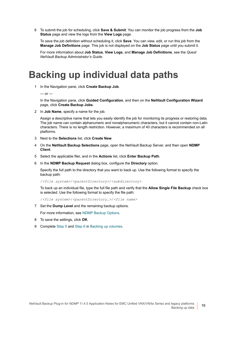<span id="page-9-1"></span>6 To submit the job for scheduling, click **Save & Submit**. You can monitor the job progress from the **Job Status** page and view the logs from the **View Logs** page.

To save the job definition without scheduling it, click **Save**. You can view, edit, or run this job from the **Manage Job Definitions** page. This job is not displayed on the **Job Status** page until you submit it.

For more information about **Job Status**, **View Logs**, and **Manage Job Definitions**, see the *Quest NetVault Backup Administrator's Guide*.

### <span id="page-9-0"></span>**Backing up individual data paths**

1 In the Navigation pane, click **Create Backup Job**.

 $-$  or  $-$ 

In the Navigation pane, click **Guided Configuration**, and then on the **NetVault Configuration Wizard** page, click **Create Backup Jobs**.

2 In **Job Name**, specify a name for the job.

Assign a descriptive name that lets you easily identify the job for monitoring its progress or restoring data. The job name can contain alphanumeric and nonalphanumeric characters, but it cannot contain non-Latin characters. There is no length restriction. However, a maximum of 40 characters is recommended on all platforms.

- 3 Next to the **Selections** list, click **Create New**.
- 4 On the **NetVault Backup Selections** page, open the NetVault Backup Server, and then open **NDMP Client**.
- 5 Select the applicable filer, and in the **Actions** list, click **Enter Backup Path**.
- 6 In the **NDMP Backup Request** dialog box, configure the **Directory** option.

Specify the full path to the directory that you want to back up. Use the following format to specify the backup path:

/*<file system>*/*<parentDirectory>*/*<subdirectory>*

To back up an individual file, type the full file path and verify that the **Allow Single File Backup** check box is selected. Use the following format to specify the file path:

/*<file system>*/*<parentDirectory…>*/*<file name>*

7 Set the **Dump Level** and the remaining backup options.

For more information, see [NDMP Backup Options](#page-7-1).

- 8 To save the settings, click **OK**.
- 9 Complete [Step 5](#page-8-0) and [Step 6](#page-9-1) in [Backing up volumes](#page-7-0).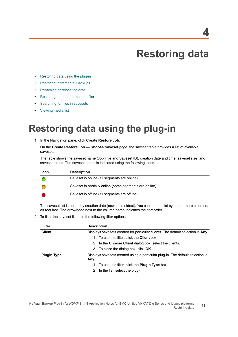# **Restoring data**

- <span id="page-10-0"></span>**•** [Restoring data using the plug-in](#page-10-1)
- **•** [Restoring Incremental Backups](#page-13-0)
- **•** [Renaming or relocating data](#page-13-1)
- **•** [Restoring data to an alternate filer](#page-13-2)
- **•** [Searching for files in savesets](#page-14-1)
- **•** [Viewing media list](#page-14-2)

### <span id="page-10-1"></span>**Restoring data using the plug-in**

<span id="page-10-2"></span>1 In the Navigation pane, click **Create Restore Job**.

On the **Create Restore Job — Choose Saveset** page, the saveset table provides a list of available savesets.

The table shows the saveset name (Job Title and Saveset ID), creation date and time, saveset size, and saveset status. The saveset status is indicated using the following icons.

| <b>Icon</b> | <b>Description</b>                                      |
|-------------|---------------------------------------------------------|
|             | Saveset is online (all segments are online).            |
|             | Saveset is partially online (some segments are online). |
|             | Saveset is offline (all segments are offline).          |

The saveset list is sorted by creation date (newest to oldest). You can sort the list by one or more columns, as required. The arrowhead next to the column name indicates the sort order.

2 To filter the saveset list, use the following filter options.

| <b>Filter</b>      | <b>Description</b>                                                              |  |  |
|--------------------|---------------------------------------------------------------------------------|--|--|
| <b>Client</b>      | Displays savesets created for particular clients. The default selection is Any. |  |  |
|                    | To use this filter, click the <b>Client</b> box.<br>1.                          |  |  |
|                    | 2 In the Choose Client dialog box, select the clients.                          |  |  |
|                    | 3 To close the dialog box, click <b>OK</b> .                                    |  |  |
| <b>Plugin Type</b> | Displays savesets created using a particular plug-in. The default selection is  |  |  |
|                    | Any.                                                                            |  |  |
|                    | To use this filter, click the <b>Plugin Type</b> box.                           |  |  |
|                    | In the list, select the plug-in.<br>2                                           |  |  |

**11**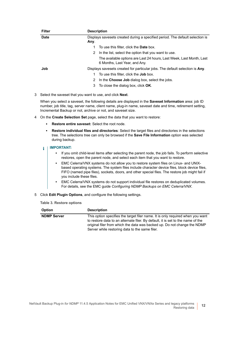| <b>Filter</b> | <b>Description</b>                                                                                    |  |  |
|---------------|-------------------------------------------------------------------------------------------------------|--|--|
| <b>Date</b>   | Displays savesets created during a specified period. The default selection is                         |  |  |
|               | Any.                                                                                                  |  |  |
|               | To use this filter, click the <b>Date</b> box.                                                        |  |  |
|               | In the list, select the option that you want to use.<br>2                                             |  |  |
|               | The available options are Last 24 hours, Last Week, Last Month, Last<br>6 Months, Last Year, and Any. |  |  |
| Job           | Displays savesets created for particular jobs. The default selection is Any.                          |  |  |
|               | To use this filter, click the <b>Job</b> box.                                                         |  |  |
|               | In the Choose Job dialog box, select the jobs.<br>2                                                   |  |  |
|               | To close the dialog box, click <b>OK</b> .<br>3                                                       |  |  |

3 Select the saveset that you want to use, and click **Next**.

When you select a saveset, the following details are displayed in the **Saveset Information** area: job ID number, job title, tag, server name, client name, plug-in name, saveset date and time, retirement setting, Incremental Backup or not, archive or not, and saveset size.

- <span id="page-11-0"></span>4 On the **Create Selection Set** page, select the data that you want to restore:
	- **▪ Restore entire saveset:** Select the root node.
	- **Restore individual files and directories**: Select the target files and directories in the selections tree. The selections tree can only be browsed if the **Save File Information** option was selected during backup.

#### **IMPORTANT:**   $\blacksquare$

- **•** If you omit child-level items after selecting the parent node, the job fails. To perform selective restores, open the parent node, and select each item that you want to restore.
- **•** EMC Celerra/VNX systems do not allow you to restore system files on Linux- and UNIXbased operating systems. The system files include character device files, block device files, FIFO (named pipe files), sockets, doors, and other special files. The restore job might fail if you include these files.
- **•** EMC Celerra/VNX systems do not support individual file restores on deduplicated volumes. For details, see the EMC guide *Configuring NDMP Backups on EMC Celerra/VNX*.
- <span id="page-11-2"></span><span id="page-11-1"></span>5 Click **Edit Plugin Options**, and configure the following settings.

#### **Table 3. Restore options**

| <b>Option</b>      | <b>Description</b>                                                                                                                                                                                                                                                                              |
|--------------------|-------------------------------------------------------------------------------------------------------------------------------------------------------------------------------------------------------------------------------------------------------------------------------------------------|
| <b>NDMP Server</b> | This option specifies the target filer name. It is only required when you want<br>to restore data to an alternate filer. By default, it is set to the name of the<br>original filer from which the data was backed up. Do not change the NDMP<br>Server while restoring data to the same filer. |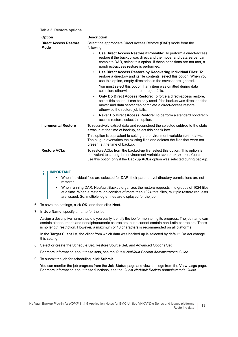**Table 3. Restore options**

| Option                               | <b>Description</b>                                                                                                                                                                                                                                                     |  |
|--------------------------------------|------------------------------------------------------------------------------------------------------------------------------------------------------------------------------------------------------------------------------------------------------------------------|--|
| <b>Direct Access Restore</b><br>Mode | Select the appropriate Direct Access Restore (DAR) mode from the<br>following:                                                                                                                                                                                         |  |
|                                      | Use Direct Access Restore if Possible: To perform a direct-access<br>$\bullet$<br>restore if the backup was direct and the mover and data server can<br>complete DAR, select this option. If these conditions are not met, a<br>nondirect-access restore is performed. |  |
|                                      | Use Direct Access Restore by Recovering Individual Files: To<br>$\bullet$<br>restore a directory and its file contents, select this option. When you<br>use this option, empty directories in the saveset are ignored.                                                 |  |
|                                      | You must select this option if any item was omitted during data<br>selection; otherwise, the restore job fails.                                                                                                                                                        |  |
|                                      | <b>Only Do Direct Access Restore:</b> To force a direct-access restore,<br>$\bullet$<br>select this option. It can be only used if the backup was direct and the<br>mover and data server can complete a direct-access restore;<br>otherwise the restore job fails.    |  |
|                                      | Never Do Direct Access Restore: To perform a standard nondirect-<br>$\bullet$<br>access restore, select this option.                                                                                                                                                   |  |
| <b>Incremental Restore</b>           | To recursively extract data and reconstruct the selected subtree to the state<br>it was in at the time of backup, select this check box.                                                                                                                               |  |
|                                      | This option is equivalent to setting the environment variable $\text{EXTRACT=N}$ .<br>The plug-in overwrites the existing files and deletes the files that were not<br>present at the time of backup.                                                                  |  |
| <b>Restore ACLs</b>                  | To restore ACLs from the backed-up file, select this option. This option is<br>equivalent to setting the environment variable EXTRACT ACL=Y. You can<br>use this option only if the Backup ACLs option was selected during backup.                                     |  |

#### **IMPORTANT:**  f

- **•** When individual files are selected for DAR, their parent-level directory permissions are not restored.
- **•** When running DAR, NetVault Backup organizes the restore requests into groups of 1024 files at a time. When a restore job consists of more than 1024 total files, multiple restore requests are issued. So, multiple log entries are displayed for the job.
- <span id="page-12-1"></span>6 To save the settings, click **OK**, and then click **Next**.
- 7 In **Job Name**, specify a name for the job.

Assign a descriptive name that lets you easily identify the job for monitoring its progress. The job name can contain alphanumeric and nonalphanumeric characters, but it cannot contain non-Latin characters. There is no length restriction. However, a maximum of 40 characters is recommended on all platforms

In the **Target Client** list, the client from which data was backed up is selected by default. Do *not* change this setting.

8 Select or create the Schedule Set, Restore Source Set, and Advanced Options Set.

For more information about these sets, see the *Quest NetVault Backup Administrator's Guide*.

<span id="page-12-0"></span>9 To submit the job for scheduling, click **Submit**.

You can monitor the job progress from the **Job Status** page and view the logs from the **View Logs** page. For more information about these functions, see the *Quest NetVault Backup Administrator's Guide*.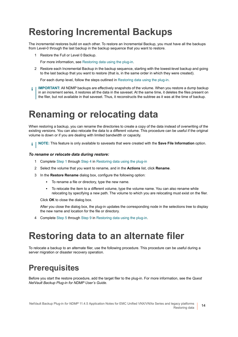# <span id="page-13-0"></span>**Restoring Incremental Backups**

The incremental restores build on each other. To restore an Incremental Backup, you must have all the backups from Level-0 through the last backup in the backup sequence that you want to restore.

- 1 Restore the Full or Level 0 Backup.
- For more information, see [Restoring data using the plug-in](#page-10-1).
- 2 Restore each Incremental Backup in the backup sequence, starting with the lowest-level backup and going to the last backup that you want to restore (that is, in the same order in which they were created).

For each dump level, follow the steps outlined in [Restoring data using the plug-in.](#page-10-1)

**IMPORTANT:** All NDMP backups are effectively snapshots of the volume. When you restore a dump backup f. in an increment series, it restores all the data in the saveset. At the same time, it deletes the files present on the filer, but not available in that saveset. Thus, it reconstructs the subtree as it was at the time of backup.

### <span id="page-13-1"></span>**Renaming or relocating data**

When restoring a backup, you can rename the directories to create a copy of the data instead of overwriting of the existing versions. You can also relocate the data to a different volume. This procedure can be useful if the original volume is down or if you are dealing with limited bandwidth or capacity.

**i** | NOTE: This feature is only available to savesets that were created with the **Save File Information** option.

#### *To rename or relocate data during restore:*

- 1 Complete [Step 1](#page-10-2) through [Step 4](#page-11-0) in [Restoring data using the plug-in](#page-10-1)
- <span id="page-13-4"></span>2 Select the volume that you want to rename, and in the **Actions** list, click **Rename**.
- <span id="page-13-5"></span>3 In the **Restore Rename** dialog box, configure the following option:
	- **▪** To rename a file or directory, type the new name.
	- **▪** To relocate the item to a different volume, type the volume name. You can also rename while relocating by specifying a new path. The volume to which you are relocating must exist on the filer.

Click **OK** to close the dialog box.

After you close the dialog box, the plug-in updates the corresponding node in the selections tree to display the new name and location for the file or directory.

4 Complete [Step 5](#page-11-1) through [Step 9](#page-12-0) in [Restoring data using the plug-in](#page-10-1).

### <span id="page-13-2"></span>**Restoring data to an alternate filer**

To relocate a backup to an alternate filer, use the following procedure. This procedure can be useful during a server migration or disaster recovery operation.

#### <span id="page-13-3"></span>**Prerequisites**

Before you start the restore procedure, add the target filer to the plug-in. For more information, see the *Quest NetVault Backup Plug-in for NDMP User's Guide*.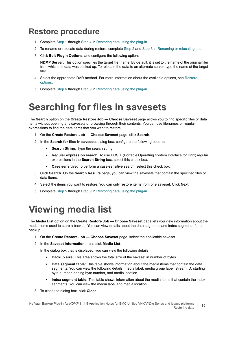### <span id="page-14-0"></span>**Restore procedure**

- 1 Complete [Step 1](#page-10-2) through [Step 4](#page-11-0) in [Restoring data using the plug-in](#page-10-1).
- 2 To rename or relocate data during restore, complete [Step 2](#page-13-4) and [Step 3](#page-13-5) in [Renaming or relocating data.](#page-13-1)
- 3 Click **Edit Plugin Options**, and configure the following option:

**NDMP Server:** This option specifies the target filer name. By default, it is set to the name of the original filer from which the data was backed up. To relocate the data to an alternate server, type the name of the target filer.

- 4 Select the appropriate DAR method. For more information about the available options, see Restore [options.](#page-11-2)
- 5 Complete [Step 6](#page-12-1) through [Step 9](#page-12-0) in [Restoring data using the plug-in](#page-10-1).

## <span id="page-14-1"></span>**Searching for files in savesets**

The **Search** option on the **Create Restore Job — Choose Saveset** page allows you to find specific files or data items without opening any savesets or browsing through their contents. You can use filenames or regular expressions to find the data items that you want to restore.

- 1 On the **Create Restore Job Choose Saveset** page, click **Search**.
- 2 In the **Search for files in savesets** dialog box, configure the following options:
	- **▪ Search String:** Type the search string.
	- **▪ Regular expression search:** To use POSIX (Portable Operating System Interface for Unix) regular expressions in the **Search String** box, select this check box.
	- **▪ Case sensitive:** To perform a case-sensitive search, select this check box.
- 3 Click **Search**. On the **Search Results** page, you can view the savesets that contain the specified files or data items.
- 4 Select the items you want to restore. You can only restore items from one saveset. Click **Next**.
- 5 Complete [Step 5](#page-11-1) through [Step 9](#page-12-0) in [Restoring data using the plug-in](#page-10-1).

# <span id="page-14-2"></span>**Viewing media list**

The **Media List** option on the **Create Restore Job — Choose Saveset** page lets you view information about the media items used to store a backup. You can view details about the data segments and index segments for a backup.

- 1 On the **Create Restore Job Choose Saveset** page, select the applicable saveset.
- 2 In the **Saveset Information** area, click **Media List**.

In the dialog box that is displayed, you can view the following details:

- **▪ Backup size:** This area shows the total size of the saveset in number of bytes
- **Data segment table:** This table shows information about the media items that contain the data segments. You can view the following details: media label, media group label, stream ID, starting byte number, ending byte number, and media location
- **Index segment table:** This table shows information about the media items that contain the index segments. You can view the media label and media location.
- 3 To close the dialog box, click **Close**.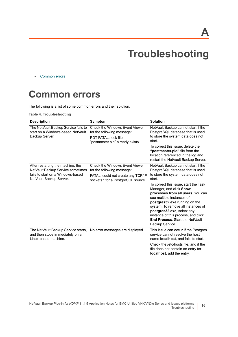**A**

# **Troubleshooting**

<span id="page-15-0"></span>**•** [Common errors](#page-15-1)

### <span id="page-15-1"></span>**Common errors**

The following is a list of some common errors and their solution.

**Table 4. Troubleshooting**

| <b>Description</b>                                                                                                                     | Symptom                                                                                                                                        | <b>Solution</b>                                                                                                                                                                                                                                                                                                                                                                                                                                                       |
|----------------------------------------------------------------------------------------------------------------------------------------|------------------------------------------------------------------------------------------------------------------------------------------------|-----------------------------------------------------------------------------------------------------------------------------------------------------------------------------------------------------------------------------------------------------------------------------------------------------------------------------------------------------------------------------------------------------------------------------------------------------------------------|
| The NetVault Backup Service fails to<br>start on a Windows-based NetVault<br>Backup Server.                                            | <b>Check the Windows Event Viewer</b><br>for the following message:<br><b>PDT FATAL: lock file</b><br>"postmaster.pid" already exists          | NetVault Backup cannot start if the<br>PostgreSQL database that is used<br>to store the system data does not<br>start.<br>To correct this issue, delete the<br>"postmaster.pid" file from the<br>location referenced in the log and<br>restart the NetVault Backup Server.                                                                                                                                                                                            |
| After restarting the machine, the<br>NetVault Backup Service sometimes<br>fails to start on a Windows-based<br>NetVault Backup Server. | <b>Check the Windows Event Viewer</b><br>for the following message:<br>FATAL: could not create any TCP/IP<br>sockets " for a PostgreSQL source | NetVault Backup cannot start if the<br>PostgreSQL database that is used<br>to store the system data does not<br>start.<br>To correct this issue, start the Task<br>Manager, and click Show<br>processes from all users. You can<br>see multiple instances of<br>postgres32.exe running on the<br>system. To remove all instances of<br>postgres32.exe, select any<br>instance of this process, and click<br><b>End Process. Start the NetVault</b><br>Backup Service. |
| The NetVault Backup Service starts,<br>and then stops immediately on a<br>Linux-based machine.                                         | No error messages are displayed.                                                                                                               | This issue can occur if the Postgres<br>service cannot resolve the host<br>name <b>localhost</b> , and fails to start.<br>Check the /etc/hosts file, and if the<br>file does not contain an entry for<br>localhost, add the entry.                                                                                                                                                                                                                                    |